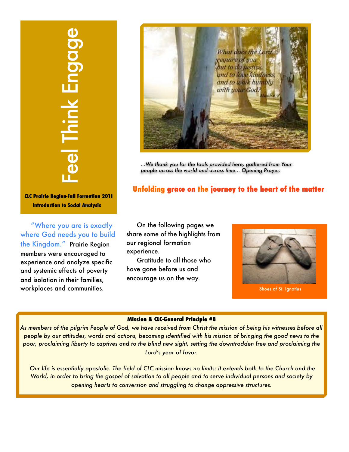# **CLC Prairie Region-Fall Formation 2011 Introduction to Social Analysis**

"Where you are is exactly where God needs you to build the Kingdom." Prairie Region members were encouraged to experience and analyze specific and systemic effects of poverty and isolation in their families, workplaces and communities.



*...We thank you for the tools provided here, gathered from Your people across the world and across time... Opening Prayer.*

### **Unfolding grace on the journey to the heart of the matter**

On the following pages we share some of the highlights from our regional formation experience.

Gratitude to all those who have gone before us and encourage us on the way.



Shoes of St. Ignatius

#### **Mission & CLC-General Principle #8**

*As members of the pilgrim People of God, we have received from Christ the mission of being his witnesses before all people by our attitudes, words and actions, becoming identified with his mission of bringing the good news to the poor, proclaiming liberty to captives and to the blind new sight, setting the downtrodden free and proclaiming the Lord's year of favor.*

 *Our life is essentially apostolic. The field of CLC mission knows no limits: it extends both to the Church and the World, in order to bring the gospel of salvation to all people and to serve individual persons and society by*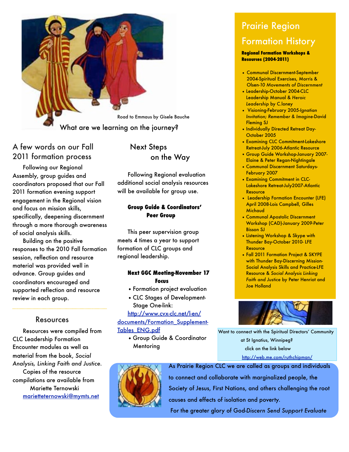

## A few words on our Fall 2011 formation process

Following our Regional Assembly, group guides and coordinators proposed that our Fall 2011 formation evening support engagement in the Regional vision and focus on mission skills, specifically, deepening discernment through a more thorough awareness of social analysis skills.

Building on the positive responses to the 2010 Fall formation session, reflection and resource material was provided well in advance. Group guides and coordinators encouraged and supported reflection and resource review in each group.

#### Resources

Resources were compiled from CLC Leadership Formation Encounter modules as well as material from the book, *Social Analysis, Linking Faith and Justice.* Copies of the resource compilations are available from Mariette Ternowski [marietteternowski@mymts.net](mailto:marietteternowski@mymts.net)

 Next Steps on the Way

Following Regional evaluation additional social analysis resources will be available for group use.

#### **Group Guide & Coordinators' Peer Group**

This peer supervision group meets 4 times a year to support formation of CLC groups and regional leadership.

#### **Next GGC Meeting-November 17 Focus**

- •Formation project evaluation
- •CLC Stages of Development- Stage One-link:

[http://www.cvx-clc.net/l-en/](http://www.cvx-clc.net/l-en/documents/Formation_Supplement-Tables_ENG.pdf)

[documents/Formation\\_Supplement-](http://www.cvx-clc.net/l-en/documents/Formation_Supplement-Tables_ENG.pdf)

- [Tables\\_ENG.pdf](http://www.cvx-clc.net/l-en/documents/Formation_Supplement-Tables_ENG.pdf)
	- Group Guide & Coordinator **Mentoring**

# Prairie Region Formation History

#### **Regional Formation Workshops & Resources (2004-2011)**

- Communal Discernment-September 2004-Spiritual Exercises, Morris & Olsen-*10 Movements of Discernment*
- Leadership-October 2004-CLC Leadership Manual & *Heroic Leadership* by C.loney
- Visioning-February 2005-*Ignatian Invitation; Remember & Imagine*-David Fleming SJ
- Individually Directed Retreat Day-October 2005
- Examining CLC Commitment-Lakeshore Retreat-July 2006-Atlantic Resource
- Group Guide Workshop-January 2007- Elaine & Peter Regan-Nightingale
- Communal Discernment Saturdays-February 2007
- Examining Commitment in CLC-Lakeshore Retreat-July2007-Atlantic Resource
- Leadership Formation Encounter (LFE) April 2008-Lois Campbell, Gilles **Michaud**
- Communal Apostolic Discernment Workshop (CAD)-January 2009-Peter Bisson SJ
- Listening Workshop & Skype with Thunder Bay-October 2010- LFE **Resource**
- Fall 2011 Formation Project & SKYPE with Thunder Bay-Discerning Mission-Social Analysis Skills and Practice-LFE Resource & *Social Analysis Linking Faith and Justice* by Peter Henriot and Joe Holland



Want to connect with the Spiritual Directors' Community at St Ignatius, Winnipeg? click on the link below [http://web.me.com/ruthchipman/](http://web.me.com/ruthchipman/St_Ignatius_Spiritual_DirectorsCommunity_Winnipeg/About_The_Spiritual_DirectorsCommunity.html)



As Prairie Region CLC we are called as groups and individuals to connect and collaborate with marginalized people, the Society of Jesus, First Nations, and others challenging the root causes and effects of isolation and poverty. For the greater glory of God-*Discern Send Support Evaluate*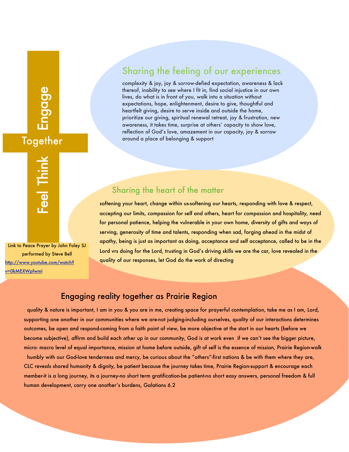# Feel Think Engage **Together**

Feel Think Link to Peace Prayer by John Foley SJ performed by Steve Bell [http://www.youtube.com/watch?](http://www.youtube.com/watch?v=0kMEXWpfwmI)

[v=0kMEXWpfwmI](http://www.youtube.com/watch?v=0kMEXWpfwmI)

# Sharing the feeling of our experiences

complexity & joy, joy & sorrow-defied expectation, awareness & lack thereof, inability to see where I fit in, find social injustice in our own lives, do what is in front of you, walk into a situation without expectations, hope, enlightenment, desire to give, thoughtful and heartfelt giving, desire to serve inside and outside the home, prioritize our giving, spiritual renewal retreat, joy & frustration, new awareness, it takes time, surprise at others' capacity to show love, reflection of God's love, amazement in our capacity, joy & sorrow around a place of belonging & support

# Sharing the heart of the matter

softening your heart, change within us-softening our hearts, responding with love & respect, accepting our limits, compassion for self and others, heart for compassion and hospitality, need for personal patience, helping the vulnerable in your own home, diversity of gifts and ways of serving, generosity of time and talents, responding when sad, forging ahead in the midst of apathy, being is just as important as doing, acceptance and self acceptance, called to be in the Lord vrs doing for the Lord, trusting in God's driving skills we are the car, love revealed in the quality of our responses, let God do the work of directing

#### Engaging reality together as Prairie Region

 quality & nature is important, I am in you & you are in me, creating space for prayerful contemplation, take me as I am, Lord, supporting one another in our communities where we are-not judging-including ourselves, quality of our interactions determines outcomes, be open and respond-coming from a faith point of view, be more objective at the start in our hearts (before we become subjective), affirm and build each other up in our community, God is at work even if we can't see the bigger picture, micro- macro level of equal importance, mission at home before outside, gift of self is the essence of mission, Prairie Region-walk

 humbly with our God-love tenderness and mercy, be curious about the "others"-first nations & be with them where they are, CLC reveals shared humanity & dignity, be patient because the journey takes time, Prairie Region-support & encourage each member-it is a long journey, its a journey-no short term gratification-be patient-no short easy answers, personal freedom & full human development, carry one another's burdens, Galatians 6.2